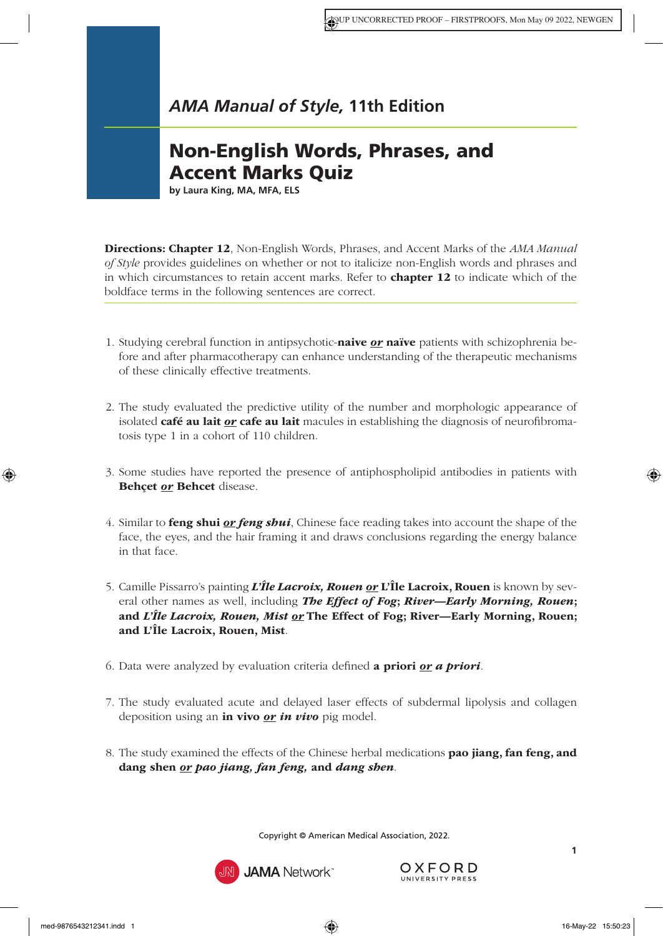## *AMA Manual of Style,* **11th Edition**

## Non-English Words, Phrases, and Accent Marks Quiz

**by Laura King, MA, MFA, ELS**

Directions: Chapter 12[, Non-English Words, Phrases, and Accent Marks](https://www.amamanualofstyle.com/view/10.1093/jama/9780190246556.001.0001/med-9780190246556-chapter-12) of the *AMA Manual of Style* provides guidelines on whether or not to italicize non-English words and phrases and in which circumstances to retain accent marks. Refer to **[chapter 12](https://www.amamanualofstyle.com/view/10.1093/jama/9780190246556.001.0001/med-9780190246556-chapter-12)** to indicate which of the boldface terms in the following sentences are correct.

- 1. Studying cerebral function in antipsychotic-naive *or* naïve patients with schizophrenia before and after pharmacotherapy can enhance understanding of the therapeutic mechanisms of these clinically effective treatments.
- 2. The study evaluated the predictive utility of the number and morphologic appearance of isolated **café au lait** *or* **cafe au lait** macules in establishing the diagnosis of neurofibromatosis type 1 in a cohort of 110 children.
- 3. Some studies have reported the presence of antiphospholipid antibodies in patients with Behçet *or* Behcet disease.
- 4. Similar to feng shui *or feng shui*, Chinese face reading takes into account the shape of the face, the eyes, and the hair framing it and draws conclusions regarding the energy balance in that face.
- 5. Camille Pissarro's painting *L'Île Lacroix, Rouen or* L'Île Lacroix, Rouen is known by several other names as well, including *The Effect of Fog*; *River—Early Morning, Rouen*; and *L'Île Lacroix, Rouen, Mist or* The Effect of Fog; River—Early Morning, Rouen; and L'Île Lacroix, Rouen, Mist.
- 6. Data were analyzed by evaluation criteria defined a priori *or a priori*.
- 7. The study evaluated acute and delayed laser effects of subdermal lipolysis and collagen deposition using an in vivo *or in vivo* pig model.
- 8. The study examined the effects of the Chinese herbal medications **pao jiang, fan feng, and** dang shen *or pao jiang, fan feng,* and *dang shen*.

Copyright © American Medical Association, 2022.